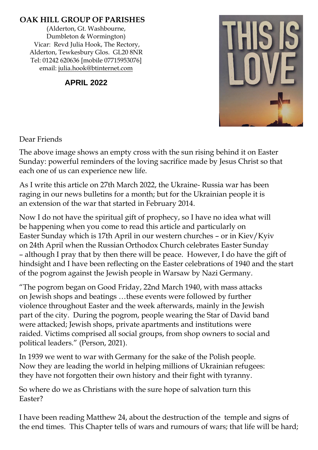### **OAK HILL GROUP OF PARISHES**

(Alderton, Gt. Washbourne, Dumbleton & Wormington) Vicar: Revd Julia Hook, The Rectory, Alderton, Tewkesbury Glos. GL20 8NR Tel: 01242 620636 [mobile 07715953076] email: [julia.hook@btinternet.com](mailto:julia.hook@btinternet.com)

**APRIL 2022**



### Dear Friends

The above image shows an empty cross with the sun rising behind it on Easter Sunday: powerful reminders of the loving sacrifice made by Jesus Christ so that each one of us can experience new life.

As I write this article on 27th March 2022, the Ukraine- Russia war has been raging in our news bulletins for a month; but for the Ukrainian people it is an extension of the war that started in February 2014.

Now I do not have the spiritual gift of prophecy, so I have no idea what will be happening when you come to read this article and particularly on Easter Sunday which is 17th April in our western churches – or in Kiev/Kyiv on 24th April when the Russian Orthodox Church celebrates Easter Sunday – although I pray that by then there will be peace. However, I do have the gift of hindsight and I have been reflecting on the Easter celebrations of 1940 and the start of the pogrom against the Jewish people in Warsaw by Nazi Germany.

"The pogrom began on Good Friday, 22nd March 1940, with mass attacks on Jewish shops and beatings …these events were followed by further violence throughout Easter and the week afterwards, mainly in the Jewish part of the city. During the pogrom, people wearing the Star of David band were attacked; Jewish shops, private apartments and institutions were raided. Victims comprised all social groups, from shop owners to social and political leaders." (Person, 2021).

In 1939 we went to war with Germany for the sake of the Polish people. Now they are leading the world in helping millions of Ukrainian refugees: they have not forgotten their own history and their fight with tyranny.

So where do we as Christians with the sure hope of salvation turn this Easter?

I have been reading Matthew 24, about the destruction of the temple and signs of the end times. This Chapter tells of wars and rumours of wars; that life will be hard;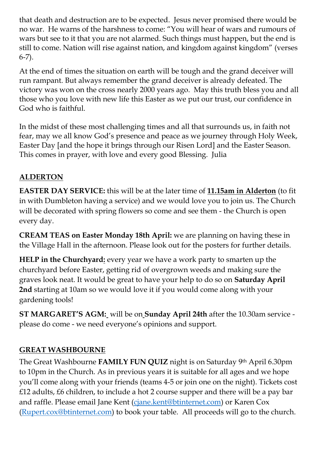that death and destruction are to be expected. Jesus never promised there would be no war. He warns of the harshness to come: "You will hear of wars and rumours of wars but see to it that you are not alarmed. Such things must happen, but the end is still to come. Nation will rise against nation, and kingdom against kingdom" (verses 6-7).

At the end of times the situation on earth will be tough and the grand deceiver will run rampant. But always remember the grand deceiver is already defeated. The victory was won on the cross nearly 2000 years ago. May this truth bless you and all those who you love with new life this Easter as we put our trust, our confidence in God who is faithful.

In the midst of these most challenging times and all that surrounds us, in faith not fear, may we all know God's presence and peace as we journey through Holy Week, Easter Day [and the hope it brings through our Risen Lord] and the Easter Season. This comes in prayer, with love and every good Blessing. Julia

# **ALDERTON**

**EASTER DAY SERVICE:** this will be at the later time of **11.15am in Alderton** (to fit in with Dumbleton having a service) and we would love you to join us. The Church will be decorated with spring flowers so come and see them - the Church is open every day.

**CREAM TEAS on Easter Monday 18th April:** we are planning on having these in the Village Hall in the afternoon. Please look out for the posters for further details.

**HELP in the Churchyard:** every year we have a work party to smarten up the churchyard before Easter, getting rid of overgrown weeds and making sure the graves look neat. It would be great to have your help to do so on **Saturday April 2nd** starting at 10am so we would love it if you would come along with your gardening tools!

**ST MARGARET'S AGM:** will be on **Sunday April 24th** after the 10.30am service please do come - we need everyone's opinions and support.

# **GREAT WASHBOURNE**

The Great Washbourne **FAMILY FUN QUIZ** night is on Saturday 9th April 6.30pm to 10pm in the Church. As in previous years it is suitable for all ages and we hope you'll come along with your friends (teams 4-5 or join one on the night). Tickets cost £12 adults, £6 children, to include a hot 2 course supper and there will be a pay bar and raffle. Please email Jane Kent [\(cjane.kent@btinternet.com\)](mailto:cjane.kent@btinternet.com) or Karen Cox [\(Rupert.cox@btinternet.com\)](mailto:Rupert.cox@btinternet.com) to book your table. All proceeds will go to the church.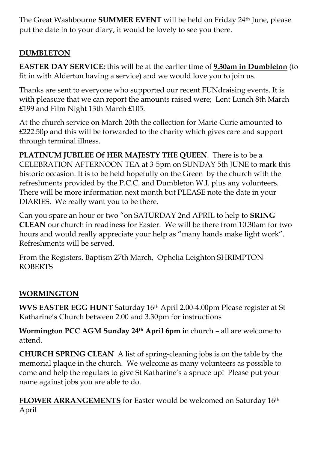The Great Washbourne **SUMMER EVENT** will be held on Friday 24th June, please put the date in to your diary, it would be lovely to see you there.

# **DUMBLETON**

**EASTER DAY SERVICE:** this will be at the earlier time of **9.30am in Dumbleton** (to fit in with Alderton having a service) and we would love you to join us.

Thanks are sent to everyone who supported our recent FUNdraising events. It is with pleasure that we can report the amounts raised were; Lent Lunch 8th March £199 and Film Night 13th March £105.

At the church service on March 20th the collection for Marie Curie amounted to £222.50p and this will be forwarded to the charity which gives care and support through terminal illness.

**PLATINUM JUBILEE Of HER MAJESTY THE QUEEN**. There is to be a CELEBRATION AFTERNOON TEA at 3-5pm on SUNDAY 5th JUNE to mark this historic occasion. It is to be held hopefully on the Green by the church with the refreshments provided by the P.C.C. and Dumbleton W.I. plus any volunteers. There will be more information next month but PLEASE note the date in your DIARIES. We really want you to be there.

Can you spare an hour or two "on SATURDAY 2nd APRIL to help to **SRING CLEAN** our church in readiness for Easter. We will be there from 10.30am for two hours and would really appreciate your help as "many hands make light work". Refreshments will be served.

From the Registers. Baptism 27th March, Ophelia Leighton SHRIMPTON-ROBERTS

# **WORMINGTON**

**WVS EASTER EGG HUNT** Saturday 16th April 2.00-4.00pm Please register at St Katharine's Church between 2.00 and 3.30pm for instructions

**Wormington PCC AGM Sunday 24th April 6pm** in church – all are welcome to attend.

**CHURCH SPRING CLEAN** A list of spring-cleaning jobs is on the table by the memorial plaque in the church. We welcome as many volunteers as possible to come and help the regulars to give St Katharine's a spruce up! Please put your name against jobs you are able to do.

**FLOWER ARRANGEMENTS** for Easter would be welcomed on Saturday 16th April